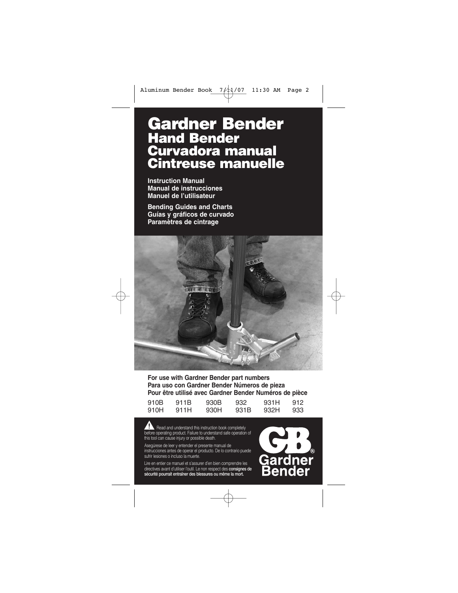# **Gardner Bender Hand Bender Curvadora manual Cintreuse manuelle**

**Instruction Manual Manual de instrucciones Manuel de l'utilisateur**

**Bending Guides and Charts Guías y gráficos de curvado Paramètres de cintrage**



**For use with Gardner Bender part numbers Para uso con Gardner Bender Números de pieza Pour être utilisé avec Gardner Bender Numéros de pièce**

| 910B | 911B | 930B | 932  | 931 H | 912 |
|------|------|------|------|-------|-----|
| 910H | 911H | 930H | 931B | 932H  | 933 |

Read and understand this instruction book completely before operating product. Failure to understand safe operation of this tool can cause injury or possible death.

Asegúrese de leer y entender el presente manual de instrucciones antes de operar el producto. De lo contrario puede sufrir lesiones o incluso la muerte.

Lire en entier ce manuel et s'assurer d'en bien comprendre les directives avant d'utiliser l'outil. Le non respect des **consignes de sécurité pourrait entraîner des blessures ou même la mort.**

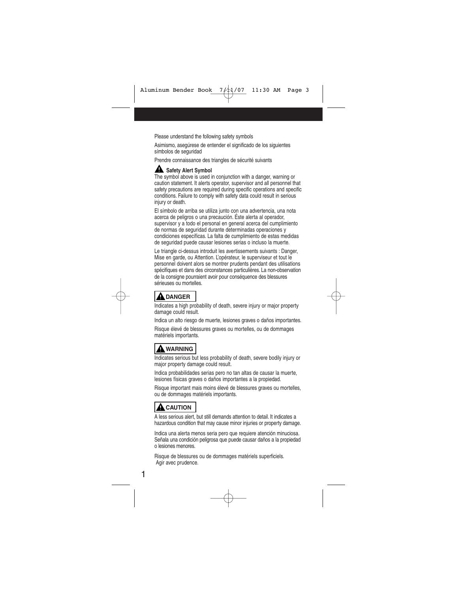Please understand the following safety symbols

Asimismo, asegúrese de entender el significado de los siguientes símbolos de seguridad

Prendre connaissance des triangles de sécurité suivants

#### **A** Safety Alert Symbol

The symbol above is used in conjunction with a danger, warning or caution statement. It alerts operator, supervisor and all personnel that safety precautions are required during specific operations and specific conditions. Failure to comply with safety data could result in serious injury or death.

El símbolo de arriba se utiliza junto con una advertencia, una nota acerca de peligros o una precaución. Éste alerta al operador, supervisor y a todo el personal en general acerca del cumplimiento de normas de seguridad durante determinadas operaciones y condiciones específicas. La falta de cumplimiento de estas medidas de seguridad puede causar lesiones serias o incluso la muerte.

Le triangle ci-dessus introduit les avertissements suivants : Danger, Mise en garde, ou Attention. L'opérateur, le superviseur et tout le personnel doivent alors se montrer prudents pendant des utilisations spécifiques et dans des circonstances particulières. La non-observation de la consigne pourraient avoir pour conséquence des blessures sérieuses ou mortelles.

## **A** DANGER

Indicates a high probability of death, severe injury or major property damage could result.

Indica un alto riesgo de muerte, lesiones graves o daños importantes.

Risque élevé de blessures graves ou mortelles, ou de dommages matériels importants.

## **WARNING**

Indicates serious but less probability of death, severe bodily injury or major property damage could result.

Indica probabilidades serias pero no tan altas de causar la muerte, lesiones físicas graves o daños importantes a la propiedad.

Risque important mais moins élevé de blessures graves ou mortelles, ou de dommages matériels importants.

## **A** CAUTION

A less serious alert, but still demands attention to detail. It indicates a hazardous condition that may cause minor injuries or property damage.

Indica una alerta menos seria pero que requiere atención minuciosa. Señala una condición peligrosa que puede causar daños a la propiedad o lesiones menores.

Risque de blessures ou de dommages matériels superficiels. Agir avec prudence.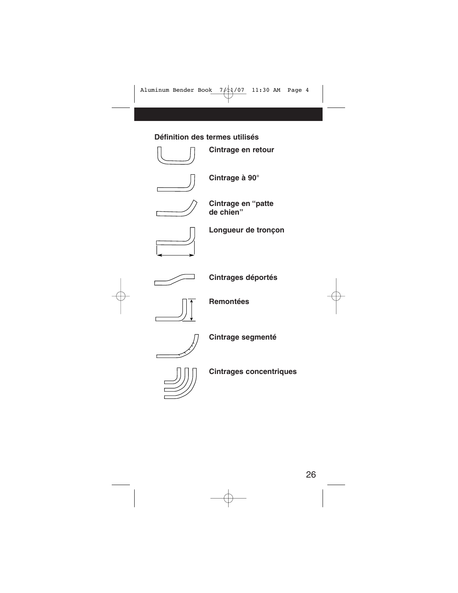#### **Définition des termes utilisés**



**Cintrage en retour**



**Cintrage à 90°**



**Cintrage en "patte de chien"**



**Longueur de tronçon**



**Cintrages déportés** 



**Remontées**



**Cintrage segmenté**



**Cintrages concentriques**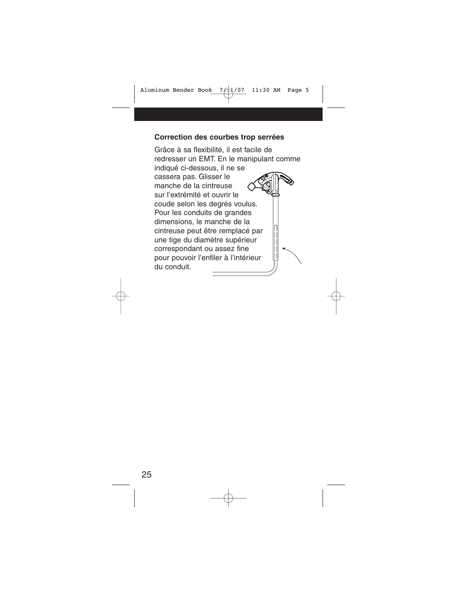#### **Correction des courbes trop serrées**

Grâce à sa flexibilité, il est facile de redresser un EMT. En le manipulant comme indiqué ci-dessous, il ne se cassera pas. Glisser le manche de la cintreuse sur l'extrémité et ouvrir le coude selon les degrés voulus. Pour les conduits de grandes dimensions, le manche de la cintreuse peut être remplacé par une tige du diamètre supérieur correspondant ou assez fine pour pouvoir l'enfiler à l'intérieur du conduit.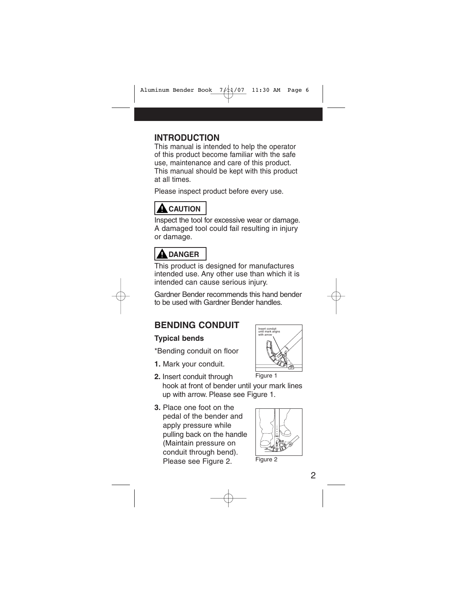## **INTRODUCTION**

This manual is intended to help the operator of this product become familiar with the safe use, maintenance and care of this product. This manual should be kept with this product at all times.

Please inspect product before every use.

## **A** CAUTION

Inspect the tool for excessive wear or damage. A damaged tool could fail resulting in injury or damage.

# **DANGER**

This product is designed for manufactures intended use. Any other use than which it is intended can cause serious injury.

Gardner Bender recommends this hand bender to be used with Gardner Bender handles.

## **BENDING CONDUIT**

#### **Typical bends**

\*Bending conduit on floor

- **1.** Mark your conduit.
- **2.** Insert conduit through hook at front of bender until your mark lines up with arrow. Please see Figure 1.
- **3.** Place one foot on the pedal of the bender and apply pressure while pulling back on the handle (Maintain pressure on conduit through bend). Please see Figure 2.



Figure 1



Figure 2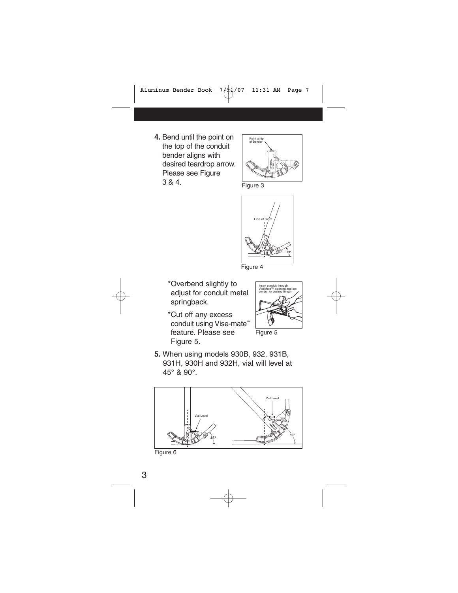**4.** Bend until the point on the top of the conduit bender aligns with desired teardrop arrow. Please see Figure 3 & 4.



Figure 3



Figure 4

- \*Overbend slightly to adjust for conduit metal springback.
- \*Cut off any excess conduit using Vise-mate™ feature. Please see Figure 5.



Figure 5

**5.** When using models 930B, 932, 931B, 931H, 930H and 932H, vial will level at 45° & 90°.



Figure 6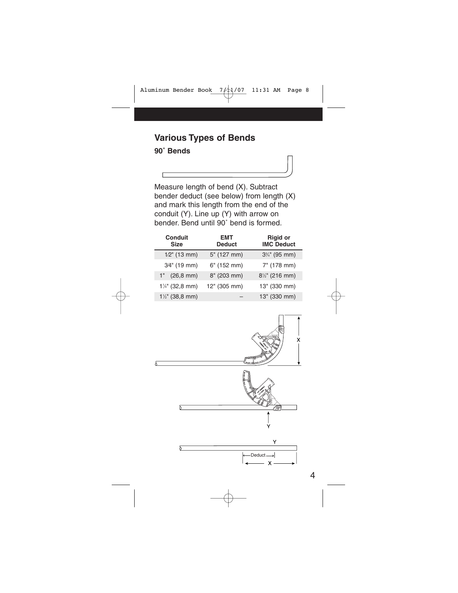# **Various Types of Bends**

#### **90˚ Bends**

Measure length of bend (X). Subtract bender deduct (see below) from length (X) and mark this length from the end of the conduit (Y). Line up (Y) with arrow on bender. Bend until 90˚ bend is formed.

| <b>Conduit</b><br><b>Size</b> | <b>EMT</b><br><b>Deduct</b> | <b>Rigid or</b><br><b>IMC Deduct</b> |
|-------------------------------|-----------------------------|--------------------------------------|
| $1/2$ " (13 mm)               | 5" (127 mm)                 | $3\frac{3}{4}$ " (95 mm)             |
| 3/4" (19 mm)                  | $6"$ (152 mm)               | 7" (178 mm)                          |
| $1"$ (26,8 mm)                | 8" (203 mm)                 | $8\frac{1}{2}$ " (216 mm)            |
| $1\frac{1}{4}$ " (32,8 mm)    | 12" (305 mm)                | 13" (330 mm)                         |
| $1\frac{1}{2}$ " (38,8 mm)    |                             | 13" (330 mm)                         |

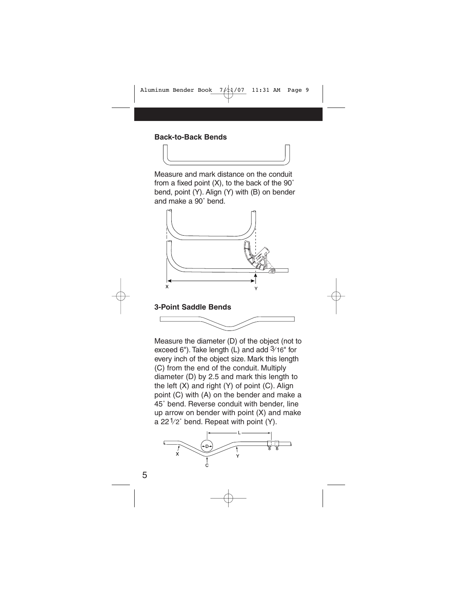#### **Back-to-Back Bends**

Measure and mark distance on the conduit from a fixed point (X), to the back of the 90˚ bend, point (Y). Align (Y) with (B) on bender and make a 90˚ bend.



#### **3-Point Saddle Bends**



Measure the diameter (D) of the object (not to exceed 6"). Take length (L) and add 3⁄ 16" for every inch of the object size. Mark this length (C) from the end of the conduit. Multiply diameter (D) by 2.5 and mark this length to the left (X) and right (Y) of point (C). Align point (C) with (A) on the bender and make a 45˚ bend. Reverse conduit with bender, line up arrow on bender with point (X) and make a  $22\frac{1}{2}$ ° bend. Repeat with point (Y).

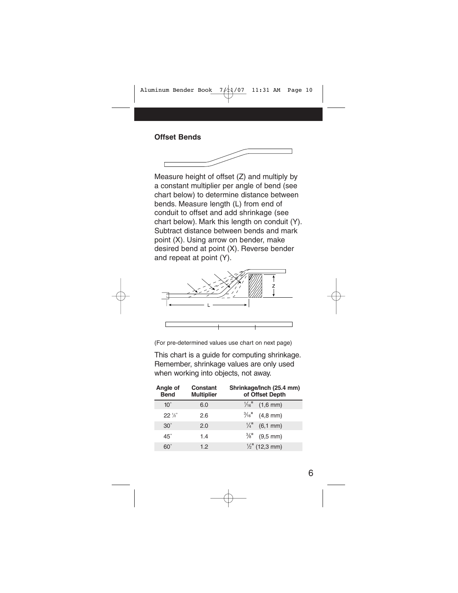# **Offset Bends**

Measure height of offset (Z) and multiply by a constant multiplier per angle of bend (see chart below) to determine distance between bends. Measure length (L) from end of conduit to offset and add shrinkage (see chart below). Mark this length on conduit (Y). Subtract distance between bends and mark point (X). Using arrow on bender, make desired bend at point (X). Reverse bender and repeat at point (Y).



(For pre-determined values use chart on next page)

This chart is a guide for computing shrinkage. Remember, shrinkage values are only used when working into objects, not away.

| Angle of<br><b>Bend</b> | Constant<br><b>Multiplier</b> | Shrinkage/Inch (25.4 mm)<br>of Offset Depth |  |  |  |
|-------------------------|-------------------------------|---------------------------------------------|--|--|--|
| $10^{\circ}$            | 6.0                           | $\frac{1}{16}$ (1,6 mm)                     |  |  |  |
| $22\frac{1}{6}$         | 2.6                           | $\frac{3}{16}$ (4.8 mm)                     |  |  |  |
| $30^\circ$              | 2.0                           | $\frac{1}{4}$ (6,1 mm)                      |  |  |  |
| $45^\circ$              | 1.4                           | $\frac{3}{8}$ " (9,5 mm)                    |  |  |  |
| 60°                     | 1.2                           | $\frac{1}{2}$ " (12,3 mm)                   |  |  |  |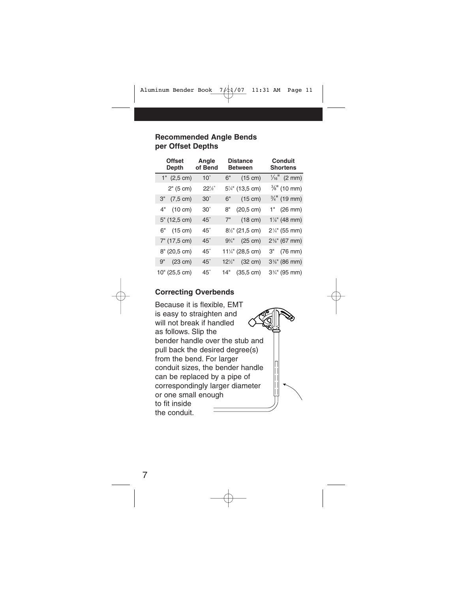#### **Recommended Angle Bends per Offset Depths**

| <b>Offset</b><br>Depth    | Angle<br>of Bend |    | <b>Distance</b><br><b>Between</b> | <b>Conduit</b><br><b>Shortens</b> |
|---------------------------|------------------|----|-----------------------------------|-----------------------------------|
| $1"$ (2,5 cm)             | $10^\circ$       | 6" | $(15 \text{ cm})$                 | $\frac{1}{16}$ " (2 mm)           |
| 2" (5 cm)                 | $22\frac{1}{2}$  |    | 5¼" (13,5 cm)                     | $\frac{3}{8}$ " (10 mm)           |
| $(7, 5 \text{ cm})$<br>З" | $30^\circ$       | 6" | (15 cm)                           | $\frac{3}{4}$ " (19 mm)           |
| 4" (10 cm)                | $30^\circ$       | 8" | $(20,5 \text{ cm})$               | $1"$ (26 mm)                      |
| 5" (12,5 cm)              | $45^\circ$       | 7" | $(18 \text{ cm})$                 | 1%" (48 mm)                       |
| 6" (15 cm)                | $45^\circ$       |    | 81/2" (21,5 cm)                   | $2\frac{1}{4}$ " (55 mm)          |
| 7" (17,5 cm)              | $45^\circ$       |    | $9\frac{3}{4}$ " (25 cm)          | $2\%$ " (67 mm)                   |
| 8" (20,5 cm)              | $45^\circ$       |    | 111/4" (28,5 cm)                  | 3" (76 mm)                        |
| 9" (23 cm)                | $45^\circ$       |    | $12\frac{1}{2}$ (32 cm)           | 3%" (86 mm)                       |
| 10" (25,5 cm)             | $45^\circ$       |    | 14" (35,5 cm)                     | $3\frac{3}{4}$ " (95 mm)          |

#### **Correcting Overbends**

Because it is flexible, EMT is easy to straighten and will not break if handled as follows. Slip the bender handle over the stub and pull back the desired degree(s) from the bend. For larger conduit sizes, the bender handle can be replaced by a pipe of correspondingly larger diameter or one small enough to fit inside the conduit.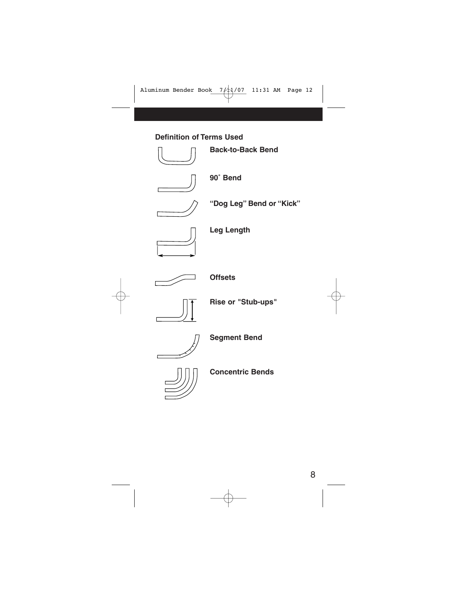#### **Definition of Terms Used**



**Back-to-Back Bend**



**90˚ Bend**



**"Dog Leg" Bend or "Kick"**



**Leg Length**



**Offsets**



**Rise or "Stub-ups"**



**Segment Bend**



**Concentric Bends**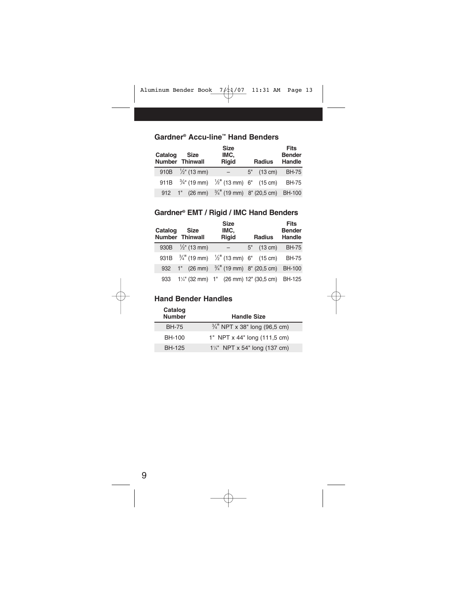| Catalog | <b>Size</b><br><b>Number Thinwall</b>                                    | <b>Size</b><br>IMC,<br><b>Rigid</b> | <b>Radius</b> | <b>Fits</b><br><b>Bender</b><br>Handle |
|---------|--------------------------------------------------------------------------|-------------------------------------|---------------|----------------------------------------|
|         | 910B $\frac{1}{2}$ " (13 mm)                                             | $-$                                 | 5" (13 cm)    | BH-75                                  |
|         | 911B $\frac{3}{4}$ " (19 mm) $\frac{1}{2}$ " (13 mm) 6" (15 cm)          |                                     |               | <b>BH-75</b>                           |
|         | 912 1" (26 mm) <sup>3</sup> / <sub>4</sub> " (19 mm) 8" (20,5 cm) BH-100 |                                     |               |                                        |

### **Gardner® Accu-line™ Hand Benders**

#### **Gardner® EMT / Rigid / IMC Hand Benders**

| Catalog | <b>Size</b><br><b>Number Thinwall</b> | <b>Size</b><br>IMC,<br><b>Rigid</b>                             | <b>Radius</b> | Fits<br><b>Bender</b><br><b>Handle</b> |
|---------|---------------------------------------|-----------------------------------------------------------------|---------------|----------------------------------------|
|         | 930B $\frac{1}{2}$ " (13 mm)          | $ \,$                                                           | $5''$ (13 cm) | <b>BH-75</b>                           |
|         |                                       | 931B $\frac{3}{4}$ " (19 mm) $\frac{1}{2}$ " (13 mm) 6" (15 cm) |               | <b>BH-75</b>                           |
| 932     |                                       | 1" $(26 \text{ mm})$ $\frac{3}{4}$ " (19 mm) 8" (20,5 cm)       |               | <b>BH-100</b>                          |
| 933     |                                       | $1\frac{1}{4}$ " (32 mm) 1" (26 mm) 12" (30,5 cm) BH-125        |               |                                        |

#### **Hand Bender Handles**

| Catalog<br><b>Number</b> | <b>Handle Size</b>                       |
|--------------------------|------------------------------------------|
| <b>BH-75</b>             | $\frac{3}{4}$ " NPT x 38" long (96,5 cm) |
| BH-100                   | 1" NPT x 44" long (111,5 cm)             |
| BH-125                   | $1\frac{1}{4}$ NPT x 54" long (137 cm)   |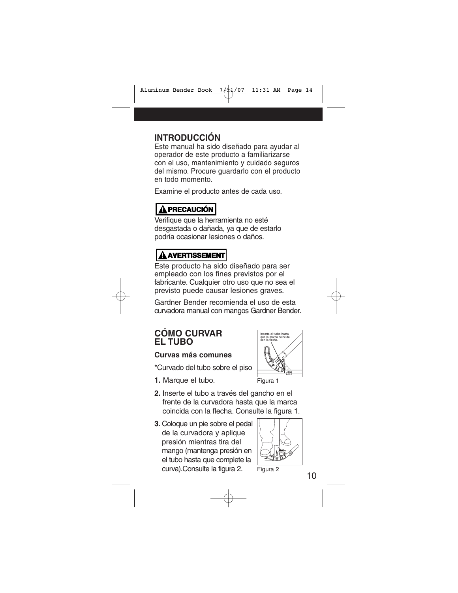## **INTRODUCCIÓN**

Este manual ha sido diseñado para ayudar al operador de este producto a familiarizarse con el uso, mantenimiento y cuidado seguros del mismo. Procure guardarlo con el producto en todo momento.

Examine el producto antes de cada uso.

## **! PRECAUCIÓN**

Verifique que la herramienta no esté desgastada o dañada, ya que de estarlo podría ocasionar lesiones o daños.

## **! AVERTISSEMENT**

Este producto ha sido diseñado para ser empleado con los fines previstos por el fabricante. Cualquier otro uso que no sea el previsto puede causar lesiones graves.

Gardner Bender recomienda el uso de esta curvadora manual con mangos Gardner Bender.

#### **CÓMO CURVAR EL TUBO**

#### **Curvas más comunes**

- \*Curvado del tubo sobre el piso
- **1.** Marque el tubo.
- **2.** Inserte el tubo a través del gancho en el frente de la curvadora hasta que la marca coincida con la flecha. Consulte la figura 1.
- **3.** Coloque un pie sobre el pedal de la curvadora y aplique presión mientras tira del mango (mantenga presión en el tubo hasta que complete la curva).Consulte la figura 2.





Figura 2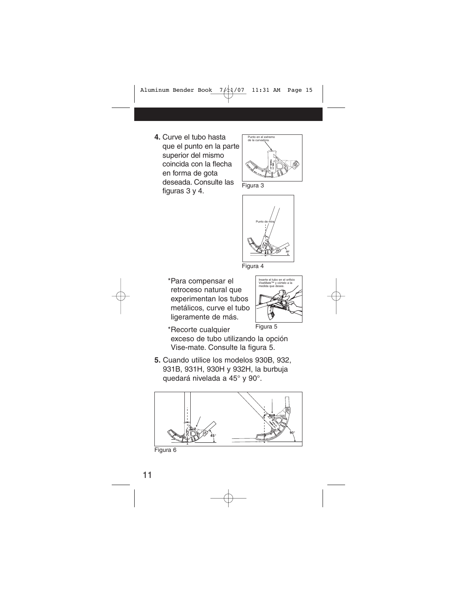**4.** Curve el tubo hasta que el punto en la parte superior del mismo coincida con la flecha en forma de gota deseada. Consulte las figuras 3 y 4.



Figura 3



Figura 4

\*Para compensar el retroceso natural que experimentan los tubos metálicos, curve el tubo ligeramente de más.



\*Recorte cualquier exceso de tubo utilizando la opción Vise-mate. Consulte la figura 5. Figura 5

**5.** Cuando utilice los modelos 930B, 932, 931B, 931H, 930H y 932H, la burbuja quedará nivelada a 45° y 90°.



Figura 6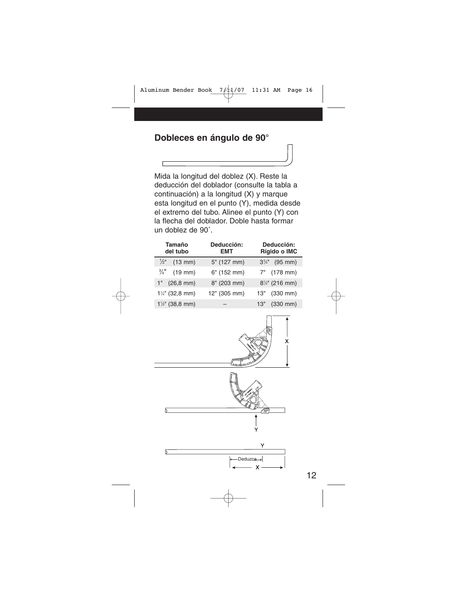## **Dobleces en ángulo de 90°**

 $\Gamma$ 

Mida la longitud del doblez (X). Reste la deducción del doblador (consulte la tabla a continuación) a la longitud (X) y marque esta longitud en el punto (Y), medida desde el extremo del tubo. Alinee el punto (Y) con la flecha del doblador. Doble hasta formar un doblez de 90˚.

| <b>Tamaño</b><br>del tubo                | Deducción:<br><b>EMT</b> | Deducción:<br>Rígido o IMC |  |  |
|------------------------------------------|--------------------------|----------------------------|--|--|
| $\frac{1}{2}$ "<br>$(13$ mm $)$          | 5" (127 mm)              | $3\frac{3}{4}$ " (95 mm)   |  |  |
| $\frac{3}{4}$ <sup>11</sup><br>$(19$ mm) | $6"$ (152 mm)            | 7" (178 mm)                |  |  |
| $(26, 8$ mm $)$<br>1"                    | 8" (203 mm)              | $8\frac{1}{2}$ " (216 mm)  |  |  |
| $1\frac{1}{4}$ " (32,8 mm)               | 12" (305 mm)             | 13" (330 mm)               |  |  |
| $1\frac{1}{2}$ " (38,8 mm)               |                          | 13" (330 mm)               |  |  |

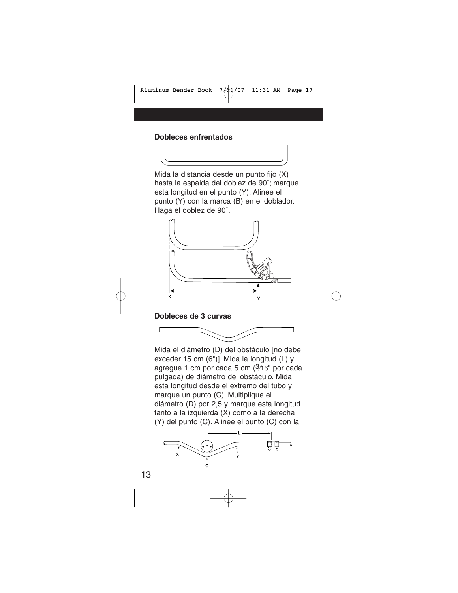#### **Dobleces enfrentados**

Mida la distancia desde un punto fijo (X) hasta la espalda del doblez de 90˚; marque esta longitud en el punto (Y). Alinee el punto (Y) con la marca (B) en el doblador. Haga el doblez de 90˚.



#### **Dobleces de 3 curvas**



Mida el diámetro (D) del obstáculo [no debe exceder 15 cm (6")]. Mida la longitud (L) y agregue 1 cm por cada 5 cm (3⁄16" por cada pulgada) de diámetro del obstáculo. Mida esta longitud desde el extremo del tubo y marque un punto (C). Multiplique el diámetro (D) por 2,5 y marque esta longitud tanto a la izquierda (X) como a la derecha (Y) del punto (C). Alinee el punto (C) con la

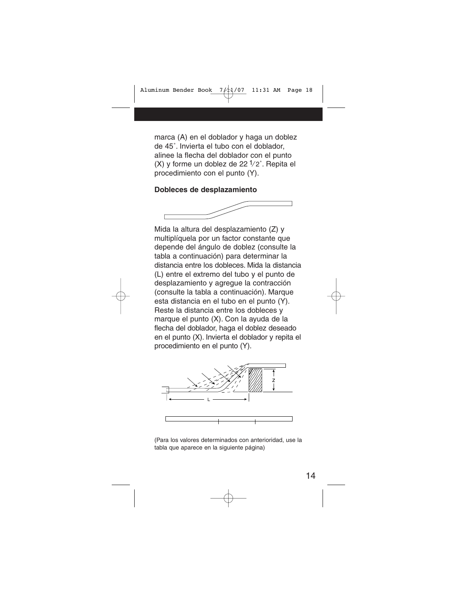marca (A) en el doblador y haga un doblez de 45˚. Invierta el tubo con el doblador, alinee la flecha del doblador con el punto (X) y forme un doblez de 22 1⁄ 2˚. Repita el procedimiento con el punto (Y).

#### **Dobleces de desplazamiento**



Mida la altura del desplazamiento (Z) y multiplíquela por un factor constante que depende del ángulo de doblez (consulte la tabla a continuación) para determinar la distancia entre los dobleces. Mida la distancia (L) entre el extremo del tubo y el punto de desplazamiento y agregue la contracción (consulte la tabla a continuación). Marque esta distancia en el tubo en el punto (Y). Reste la distancia entre los dobleces y marque el punto (X). Con la ayuda de la flecha del doblador, haga el doblez deseado en el punto (X). Invierta el doblador y repita el procedimiento en el punto (Y).



(Para los valores determinados con anterioridad, use la tabla que aparece en la siguiente página)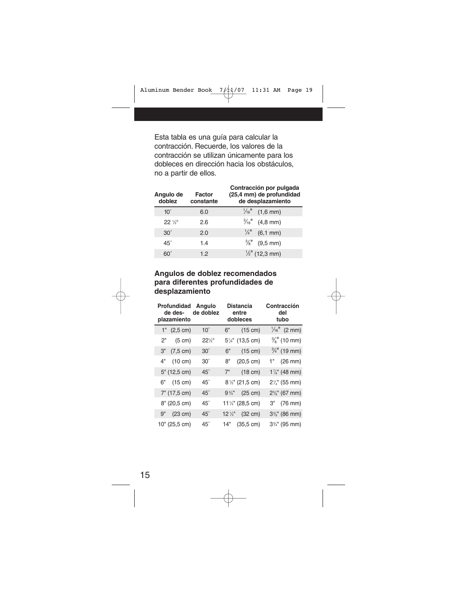Esta tabla es una guía para calcular la contracción. Recuerde, los valores de la contracción se utilizan únicamente para los dobleces en dirección hacia los obstáculos, no a partir de ellos.

| Contracción por pulgada<br>(25,4 mm) de profundidad<br>de desplazamiento |
|--------------------------------------------------------------------------|
| $\frac{1}{16}$ (1,6 mm)                                                  |
| $\frac{3}{16}$ (4,8 mm)                                                  |
| $\frac{1}{4}$ (6,1 mm)                                                   |
| $\frac{3}{8}$ " (9.5 mm)                                                 |
| $\frac{1}{2}$ " (12,3 mm)                                                |
|                                                                          |

#### **Angulos de doblez recomendados para diferentes profundidades de desplazamiento**

|    | Profundidad<br>de des-<br>plazamiento | Angulo<br>de doblez |                  | <b>Distancia</b><br>entre<br>dobleces     | Contracción<br>del<br>tubo |
|----|---------------------------------------|---------------------|------------------|-------------------------------------------|----------------------------|
|    | $1"$ (2,5 cm)                         | $10^{\circ}$        | 6"               | $(15 \text{ cm})$                         | $\frac{1}{16}$ " (2 mm)    |
| 2" | (5 cm)                                | $22\frac{1}{2}$ °   |                  | 5 <sup>1</sup> / <sub>4</sub> " (13,5 cm) | $\frac{3}{8}$ " (10 mm)    |
| З" | (7.5 cm)                              | $30^\circ$          | 6"               | $(15 \text{ cm})$                         | $\frac{3}{4}$ " (19 mm)    |
|    | 4" (10 cm)                            | $30^\circ$          | 8"               | $(20,5 \text{ cm})$                       | $1"$ (26 mm)               |
|    | $5"$ (12,5 cm)                        | $45^\circ$          | 7"               | $(18 \text{ cm})$                         | $1\frac{7}{8}$ " (48 mm)   |
|    | 6" (15 cm)                            | 45°                 |                  | 8 <sup>1/2"</sup> (21,5 cm)               | $2\frac{1}{4}$ " (55 mm)   |
|    | 7" (17,5 cm)                          | $45^\circ$          | $9\frac{3}{4}$ " | $(25 \text{ cm})$                         | $2\frac{5}{8}$ " (67 mm)   |
|    | 8" (20,5 cm)                          | $45^\circ$          |                  | 111/4" (28,5 cm)                          | 3" (76 mm)                 |
|    | 9" (23 cm)                            | $45^\circ$          |                  | 12 1/2" (32 cm)                           | $3\%$ " (86 mm)            |
|    | 10" (25,5 cm)                         | $45^\circ$          |                  | 14" (35,5 cm)                             | $3\frac{3}{4}$ " (95 mm)   |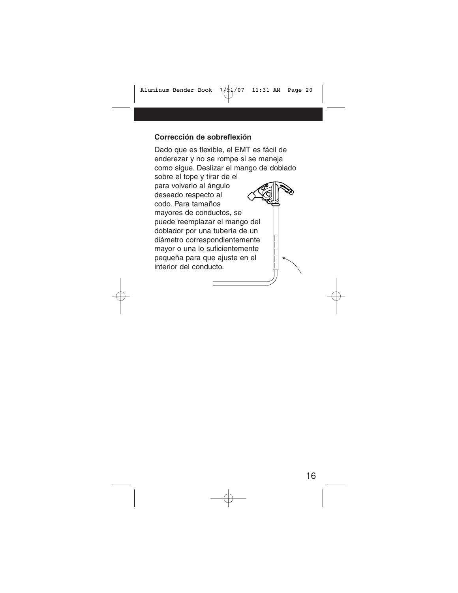#### **Corrección de sobreflexión**

Dado que es flexible, el EMT es fácil de enderezar y no se rompe si se maneja como sigue. Deslizar el mango de doblado sobre el tope y tirar de el para volverlo al ángulo deseado respecto al codo. Para tamaños mayores de conductos, se puede reemplazar el mango del doblador por una tubería de un diámetro correspondientemente mayor o una lo suficientemente pequeña para que ajuste en el interior del conducto.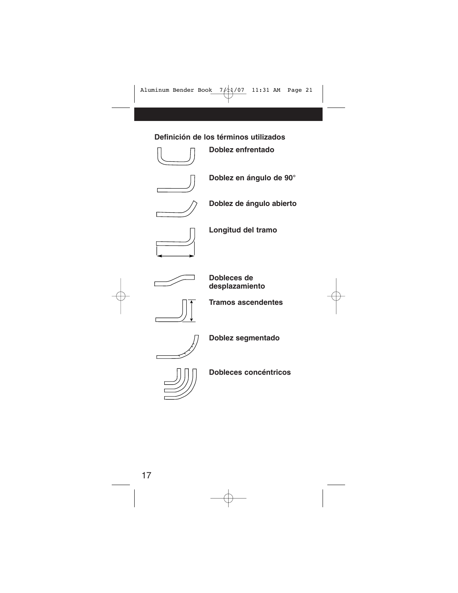#### **Definición de los términos utilizados**



**Doblez enfrentado**



**Doblez en ángulo de 90°**



**Doblez de ángulo abierto**



**Longitud del tramo**



**Dobleces de desplazamiento**



**Tramos ascendentes**



**Doblez segmentado**



**Dobleces concéntricos**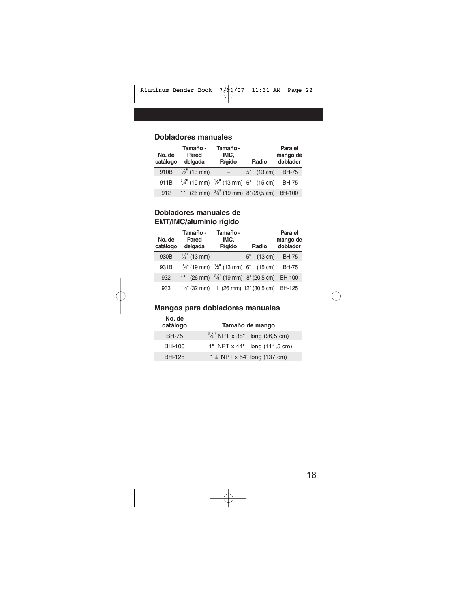#### **Dobladores manuales**

| No. de<br>catálogo | Tamaño -<br>Pared<br>delgada | Tamaño -<br>IMC,<br>Rígido                                       | Radio         | Para el<br>mango de<br>doblador |
|--------------------|------------------------------|------------------------------------------------------------------|---------------|---------------------------------|
| 910B               | $\frac{1}{2}$ " (13 mm)      | $-$                                                              | $5''$ (13 cm) | <b>BH-75</b>                    |
| 911B               |                              | $\frac{3}{4}$ " (19 mm) $\frac{1}{2}$ " (13 mm) 6" (15 cm)       |               | BH-75                           |
| 912                |                              | 1" $(26 \text{ mm})$ $\frac{3}{4}$ " (19 mm) 8" (20,5 cm) BH-100 |               |                                 |

#### **Dobladores manuales de EMT/IMC/aluminio rígido**

| No. de<br>catálogo | Tamaño -<br>Pared<br>delgada | Tamaño -<br>IMC,<br>Rígido                                 |    | Radio             | Para el<br>mango de<br>doblador |
|--------------------|------------------------------|------------------------------------------------------------|----|-------------------|---------------------------------|
| 930B               | $\frac{1}{2}$ " (13 mm)      |                                                            | 5" | $(13 \text{ cm})$ | <b>BH-75</b>                    |
| 931B               |                              | $\frac{3}{4}$ " (19 mm) $\frac{1}{2}$ " (13 mm) 6" (15 cm) |    |                   | <b>BH-75</b>                    |
| 932                |                              | 1" $(26 \text{ mm})$ $\frac{3}{4}$ " (19 mm) 8" (20,5 cm)  |    |                   | <b>BH-100</b>                   |
| 933                |                              | 1 <sup>1/4"</sup> (32 mm) 1" (26 mm) 12" (30,5 cm) BH-125  |    |                   |                                 |

#### **Mangos para dobladores manuales**

| No. de<br>catálogo | Tamaño de mango                          |  |  |  |
|--------------------|------------------------------------------|--|--|--|
| <b>BH-75</b>       | $\frac{3}{4}$ " NPT x 38" long (96,5 cm) |  |  |  |
| BH-100             | 1" NPT x 44" long (111,5 cm)             |  |  |  |
| <b>BH-125</b>      | $1\frac{1}{4}$ " NPT x 54" long (137 cm) |  |  |  |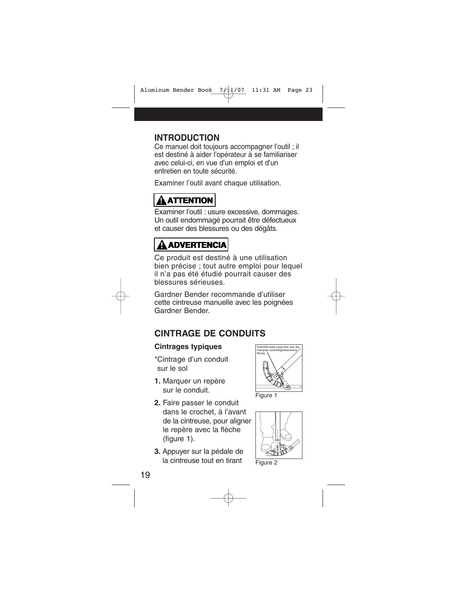## **INTRODUCTION**

Ce manuel doit toujours accompagner l'outil ; il est destiné à aider l'opérateur à se familiariser avec celui-ci, en vue d'un emploi et d'un entretien en toute sécurité.

Examiner l'outil avant chaque utilisation.

# **! ATTENTION**

Examiner l'outil : usure excessive, dommages. Un outil endommagé pourrait être défectueux et causer des blessures ou des dégâts.

# **! ADVERTENCIA**

Ce produit est destiné à une utilisation bien précise ; tout autre emploi pour lequel il n'a pas été étudié pourrait causer des blessures sérieuses.

Gardner Bender recommande d'utiliser cette cintreuse manuelle avec les poignées Gardner Bender.

## **CINTRAGE DE CONDUITS**

#### **Cintrages typiques**

- \*Cintrage d'un conduit sur le sol
- **1.** Marquer un repère sur le conduit.
- **2.** Faire passer le conduit dans le crochet, à l'avant de la cintreuse, pour aligner le repère avec la flèche (figure 1).
- **3.** Appuyer sur la pédale de la cintreuse tout en tirant







Figure 2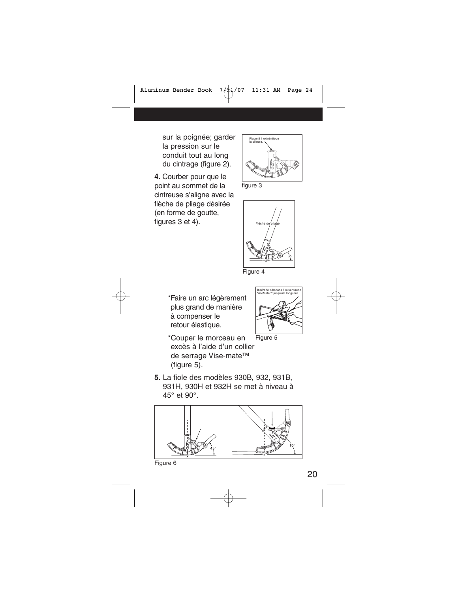sur la poignée; garder la pression sur le conduit tout au long du cintrage (figure 2).

**4.** Courber pour que le point au sommet de la cintreuse s'aligne avec la flèche de pliage désirée (en forme de goutte, figures 3 et 4).



figure 3



Figure 4

\*Faire un arc légèrement plus grand de manière à compenser le retour élastique.

\*Couper le morceau en excès à l'aide d'un collier



Figure 5

- de serrage Vise-mate™ (figure 5). **5.** La fiole des modèles 930B, 932, 931B,
- 931H, 930H et 932H se met à niveau à 45° et 90°.

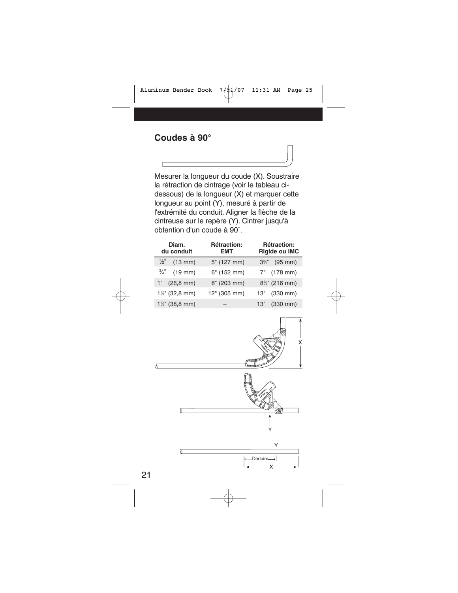Mesurer la longueur du coude (X). Soustraire la rétraction de cintrage (voir le tableau cidessous) de la longueur (X) et marquer cette longueur au point (Y), mesuré à partir de l'extrémité du conduit. Aligner la flèche de la cintreuse sur le repère (Y). Cintrer jusqu'à obtention d'un coude à 90˚.

| Diam.<br>du conduit                | Rétraction:<br><b>EMT</b> | Rétraction:<br>Rigide ou IMC |  |  |
|------------------------------------|---------------------------|------------------------------|--|--|
| $\frac{1}{2}$<br>$(13 \text{ mm})$ | 5" (127 mm)               | $3\frac{3}{4}$ " (95 mm)     |  |  |
| $\frac{3}{4}$ " (19 mm)            | 6" (152 mm)               | 7" (178 mm)                  |  |  |
| $(26, 8 \text{ mm})$<br>1"         | 8" (203 mm)               | $8\frac{1}{2}$ " (216 mm)    |  |  |
| $1\frac{1}{4}$ (32,8 mm)           | 12" (305 mm)              | 13" (330 mm)                 |  |  |
| $1\frac{1}{2}$ " (38,8 mm)         |                           | 13" (330 mm)                 |  |  |

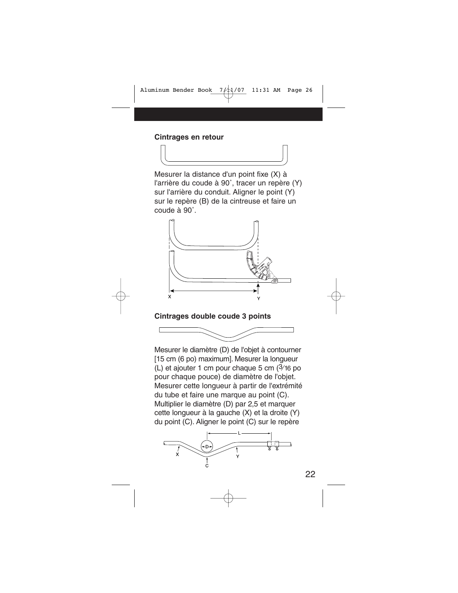#### **Cintrages en retour**

Mesurer la distance d'un point fixe (X) à l'arrière du coude à 90˚, tracer un repère (Y) sur l'arrière du conduit. Aligner le point (Y) sur le repère (B) de la cintreuse et faire un coude à 90˚.



#### **Cintrages double coude 3 points**



Mesurer le diamètre (D) de l'objet à contourner [15 cm (6 po) maximum]. Mesurer la longueur (L) et ajouter 1 cm pour chaque 5 cm (3⁄16 po pour chaque pouce) de diamètre de l'objet. Mesurer cette longueur à partir de l'extrémité du tube et faire une marque au point (C). Multiplier le diamètre (D) par 2,5 et marquer cette longueur à la gauche (X) et la droite (Y) du point (C). Aligner le point (C) sur le repère

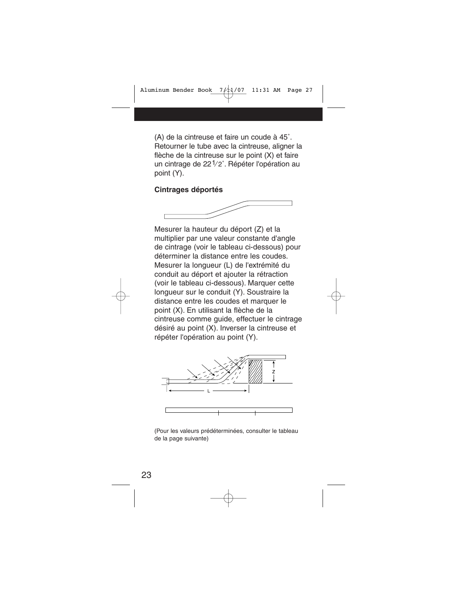(A) de la cintreuse et faire un coude à 45˚. Retourner le tube avec la cintreuse, aligner la flèche de la cintreuse sur le point (X) et faire un cintrage de 221⁄ 2˚. Répéter l'opération au point (Y).

#### **Cintrages déportés**



Mesurer la hauteur du déport (Z) et la multiplier par une valeur constante d'angle de cintrage (voir le tableau ci-dessous) pour déterminer la distance entre les coudes. Mesurer la longueur (L) de l'extrémité du conduit au déport et ajouter la rétraction (voir le tableau ci-dessous). Marquer cette longueur sur le conduit (Y). Soustraire la distance entre les coudes et marquer le point (X). En utilisant la flèche de la cintreuse comme guide, effectuer le cintrage désiré au point (X). Inverser la cintreuse et répéter l'opération au point (Y).



(Pour les valeurs prédéterminées, consulter le tableau de la page suivante)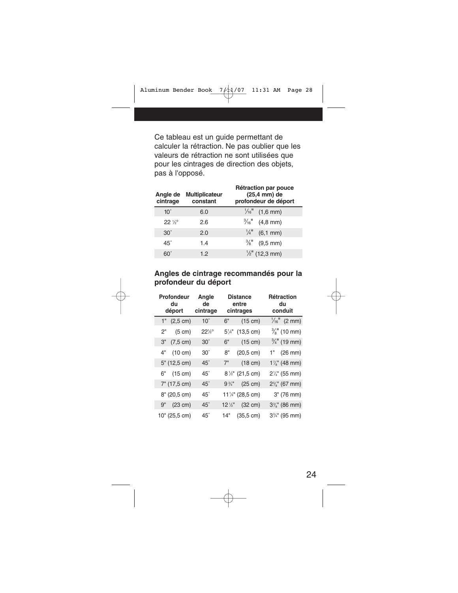Ce tableau est un guide permettant de calculer la rétraction. Ne pas oublier que les valeurs de rétraction ne sont utilisées que pour les cintrages de direction des objets, pas à l'opposé.

| Angle de<br>cintrage | <b>Multiplicateur</b><br>constant | Rétraction par pouce<br>$(25.4 \text{ mm})$ de<br>profondeur de déport |
|----------------------|-----------------------------------|------------------------------------------------------------------------|
| $10^{\circ}$         | 6.0                               | $\frac{1}{16}$ (1,6 mm)                                                |
| $22\frac{1}{6}$      | 2.6                               | $\frac{3}{16}$ (4,8 mm)                                                |
| $30^{\circ}$         | 2.0                               | $\frac{1}{4}$ (6,1 mm)                                                 |
| $45^\circ$           | 1.4                               | $\frac{3}{8}$ " (9,5 mm)                                               |
| $60^\circ$           | 1.2                               | $\frac{1}{2}$ " (12,3 mm)                                              |

#### **Angles de cintrage recommandés pour la profondeur du déport**

|    | Profondeur<br>du<br>déport | Angle<br>de<br>cintrage | <b>Distance</b><br>entre<br>cintrages |                            |                          |  | Rétraction<br>du<br>conduit |
|----|----------------------------|-------------------------|---------------------------------------|----------------------------|--------------------------|--|-----------------------------|
| 1" | $(2,5 \text{ cm})$         | $10^{\circ}$            | 6"                                    | $(15 \text{ cm})$          | $\frac{1}{16}$ " (2 mm)  |  |                             |
| 2" | $(5 \text{ cm})$           | $22\frac{1}{2}$         | $5\frac{1}{4}$ "                      | $(13,5 \text{ cm})$        | $\frac{3}{8}$ " (10 mm)  |  |                             |
| З" | $(7, 5 \text{ cm})$        | $30^\circ$              | 6"                                    | $(15 \text{ cm})$          | $\frac{3}{4}$ " (19 mm)  |  |                             |
| 4" | $(10 \text{ cm})$          | $30^\circ$              | 8"                                    | $(20,5 \text{ cm})$        | $1"$ (26 mm)             |  |                             |
|    | $5"$ (12,5 cm)             | $45^\circ$              | 7"                                    | $(18 \text{ cm})$          | $1\%$ " (48 mm)          |  |                             |
|    | 6" (15 cm)                 | $45^\circ$              |                                       | $8\frac{1}{2}$ " (21,5 cm) | $2\frac{1}{4}$ " (55 mm) |  |                             |
|    | 7" (17,5 cm)               | $45^\circ$              | $9\frac{3}{4}$ "                      | $(25 \text{ cm})$          | $2\frac{5}{8}$ " (67 mm) |  |                             |
|    | 8" (20,5 cm)               | $45^\circ$              |                                       | 111/4" (28,5 cm)           | 3" (76 mm)               |  |                             |
|    | 9" (23 cm)                 | $45^\circ$              | $12\frac{1}{2}$                       | $(32 \text{ cm})$          | $3\%$ " (86 mm)          |  |                             |
|    | 10" (25,5 cm)              | $45^\circ$              | 14"                                   | $(35, 5 \text{ cm})$       | $3\frac{3}{4}$ " (95 mm) |  |                             |